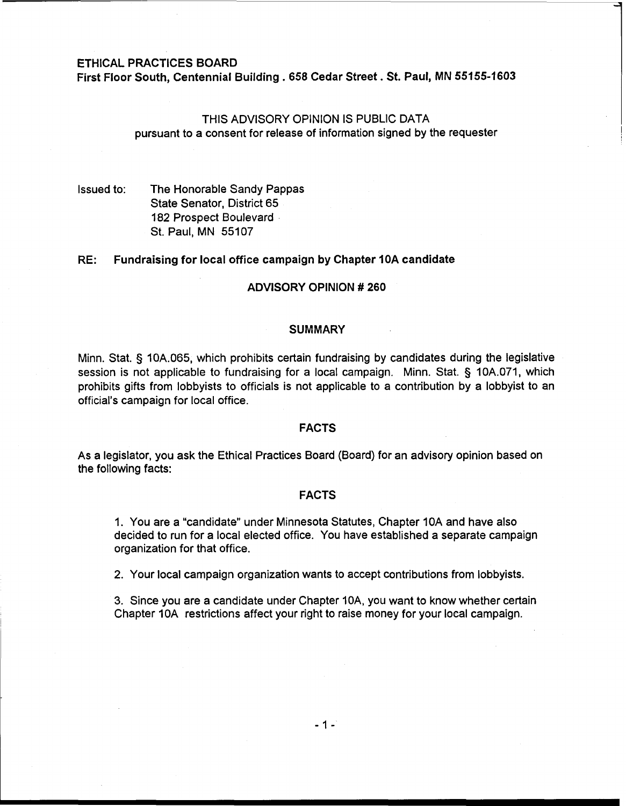# ETHICAL PRACTICES BOARD

First Floor South, Centennial Building . 658 Cedar Street . St. Paul, MN 55155-1603

# THIS ADVISORY OPINION IS PUBLIC DATA pursuant to a consent for release of information signed by the requester

Issued to: The Honorable Sandy Pappas State Senator, District 65 182 Prospect Boulevard St. Paul, MN 55107

# RE: Fundraising for local office campaign by Chapter 10A candidate

### ADVISORY OPINION # 260

#### **SUMMARY**

Minn. Stat. **5** 10A.065, which prohibits certain fundraising by candidates during the legislative session is not applicable to fundraising for a local campaign. Minn. Stat. § 10A.071, which prohibits gifts from lobbyists to officials is not applicable to a contribution by a lobbyist to an official's campaign for local office.

# FACTS

As a legislator, you ask the Ethical Practices Board (Board) for an advisory opinion based on the following facts:

# FACTS

1. You are a "candidate" under Minnesota Statutes, Chapter 10A and have also decided to run for a local elected office. You have established a separate campaign organization for that office.

2. Your local campaign organization wants to accept contributions from lobbyists.

3. Since you are a candidate under Chapter IOA, you want to know whether certain Chapter IOA restrictions affect your right to raise money for your local campaign.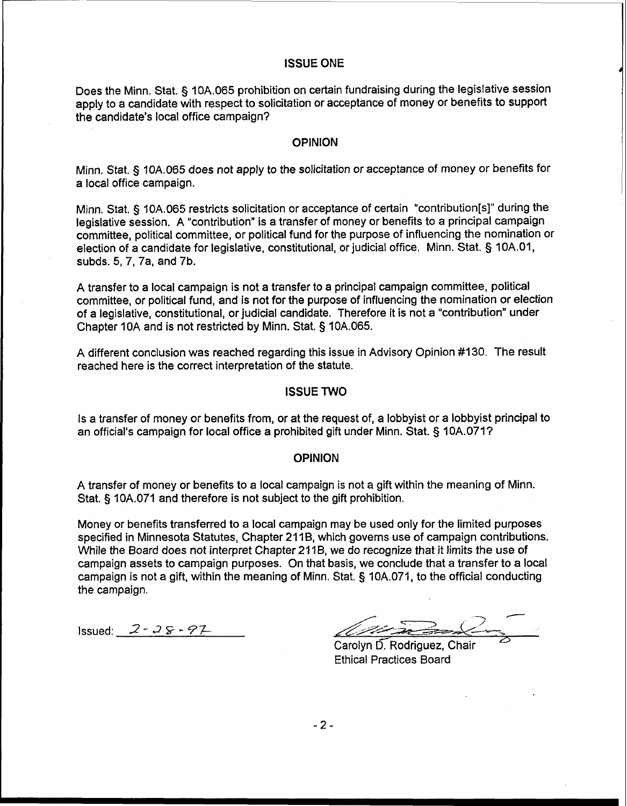# **ISSUE** ONE

Does the Minn. Stat. § 10A.065 prohibition on certain fundraising during the legislative session apply to a candidate with respect to solicitation or acceptance of money or benefits to support the candidate's local office campaign?

#### OPINION

Minn. Stat. **3** 10A.065 does not apply to the solicitation or acceptance of money or benefits for a local office campaign.

Minn. Stat. § 10A.065 restricts solicitation or acceptance of certain "contribution[s]" during the legislative session. A "contribution" is a transfer of money or benefits to a principal campaign committee, political committee, or political fund for the purpose of influencing the nomination or election of a candidate for legislative, constitutional, or judicial office. Minn. Stat. § 10A.O1, subds. **5,** 7, 7a, and 7b.

A transfer to a local campaign is not a transfer to a principal campaign committee, political committee, or political fund, and is not for the purpose of influencing the nomination or election of a legislative, constitutional, or judicial candidate. Therefore it is not a "contribution" under Chapter 10A and is not restricted by Minn. Stat. § 10A.065.

A different conclusion was reached regarding this issue in Advisory Opinion #I 30. The result reached here is the correct interpretation of the statute.

# **ISSUE** TWO

Is a transfer of money or benefits from, or at the request of, a lobbyist or a lobbyist principal to an official's campaign for local office a prohibited gift under Minn. Stat. § 10A.071?

# OPINION

A transfer of money or benefits to a local campaign is not **a** gift within the meaning of Minn. Stat. § 10A.071 and therefore is not subject to the gift prohibition.

Money or benefits transferred to a local campaign may be used only for the limited purposes specified in Minnesota Statutes, Chapter 211B, which governs use of campaign contributions. While the Board does not interpret Chapter 211B, we do recognize that it limits the use of campaign assets to campaign purposes. On that basis, we conclude that a transfer to a local campaign is not a gift, within the meaning of Minn. Stat. § 10A.071, to the official conducting the campaign.

 $Is sued: 2 - 25 - 97$ 

Carolyn D. Rodriguez, Chair Ethical Practices Board

 $-2-$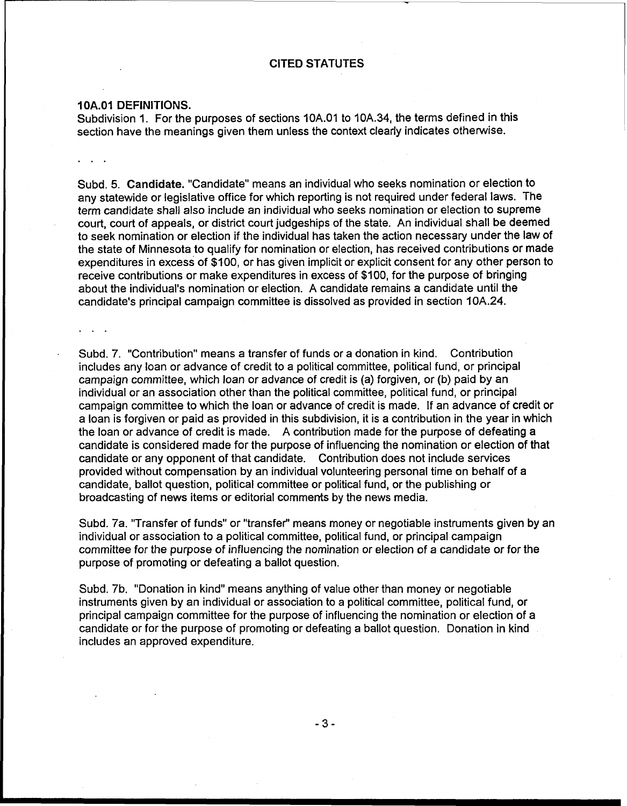# **CITED STATUTES**

# **1 OA.01 DEFINITIONS.**

**Contract Contract** 

Subdivision I. For the purposes of sections 10A.O1 to IOA.34, the terms defined in this section have the meanings given them unless the context clearly indicates otherwise.

Subd. **5. Candidate.** "Candidate" means an individual who seeks nomination or election to any statewide or legislative office for which reporting is not required under federal laws. The term candidate shall also include an individual who seeks nomination or election to supreme court, court of appeals, or district court judgeships of the state. An individual shall be deemed to seek nomination or election if the individual has taken the action necessary under the law of the state of Minnesota to qualify for nomination or election, has received contributions or made expenditures in excess of \$100, or has given implicit or explicit consent for any other person to receive contributions or make expenditures in excess of \$100, for the purpose of bringing about the individual's nomination or election. A candidate remains a candidate until the candidate's principal campaign committee is dissolved as provided in section 10A.24.

. Subd. 7. "Contribution" means a transfer of funds or a donation in kind. Contribution includes any loan or advance of credit to a political committee, political fund, or principal campaign committee, which loan or advance of credit is **(a)** forgiven, or (b) paid by an individual or an association other than the political committee, political fund, or principal campaign committee to which the loan or advance of credit is made. If an advance of credit or a loan is forgiven or paid as provided in this subdivision, it is a contribution in the year in which the loan or advance of credit is made. A contribution made for the purpose of defeating **a**  candidate is considered made for the purpose of influencing the nomination or election of that candidate or any opponent of that candidate. Contribution does not include services provided without compensation by an individual volunteering personal time on behalf of a candidate, ballot question, political committee or political fund, or the publishing or broadcasting of news items or editorial comments by the news media.

Subd. 7a. "Transfer of funds" or "transfer" means money or negotiable instruments given by an individual or association to a political committee, political fund, or principal campaign committee for the purpose of influencing the nomination or election of a candidate or for the purpose of promoting or defeating a ballot question.

Subd. 7b. "Donation in kind" means anything of value other than money or negotiable instruments given by an individual or association to a political committee, political fund, or principal campaign committee for the purpose of influencing the nomination or election of a candidate or for the purpose of promoting or defeating a ballot question. Donation in kind includes an approved expenditure.